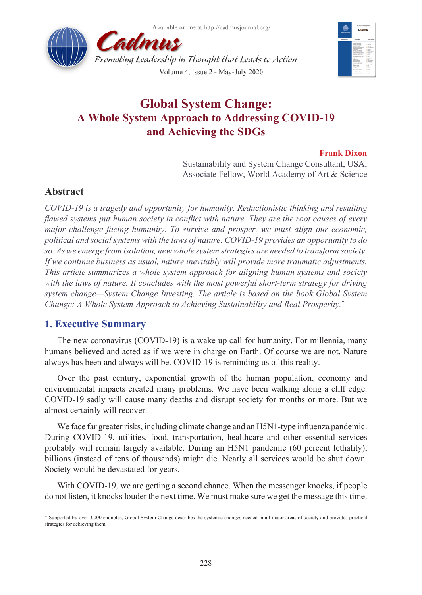



# **Global System Change: A Whole System Approach to Addressing COVID-19 and Achieving the SDGs**

### **Frank Dixon**

Sustainability and System Change Consultant, USA; Associate Fellow, World Academy of Art & Science

## **Abstract**

*COVID-19 is a tragedy and opportunity for humanity. Reductionistic thinking and resulting flawed systems put human society in conflict with nature. They are the root causes of every major challenge facing humanity. To survive and prosper, we must align our economic, political and social systems with the laws of nature. COVID-19 provides an opportunity to do so. As we emerge from isolation, new whole system strategies are needed to transform society. If we continue business as usual, nature inevitably will provide more traumatic adjustments. This article summarizes a whole system approach for aligning human systems and society with the laws of nature. It concludes with the most powerful short-term strategy for driving system change—System Change Investing. The article is based on the book Global System Change: A Whole System Approach to Achieving Sustainability and Real Prosperity.\**

# **1. Executive Summary**

The new coronavirus (COVID-19) is a wake up call for humanity. For millennia, many humans believed and acted as if we were in charge on Earth. Of course we are not. Nature always has been and always will be. COVID-19 is reminding us of this reality.

Over the past century, exponential growth of the human population, economy and environmental impacts created many problems. We have been walking along a cliff edge. COVID-19 sadly will cause many deaths and disrupt society for months or more. But we almost certainly will recover.

We face far greater risks, including climate change and an H5N1-type influenza pandemic. During COVID-19, utilities, food, transportation, healthcare and other essential services probably will remain largely available. During an H5N1 pandemic (60 percent lethality), billions (instead of tens of thousands) might die. Nearly all services would be shut down. Society would be devastated for years.

With COVID-19, we are getting a second chance. When the messenger knocks, if people do not listen, it knocks louder the next time. We must make sure we get the message this time.

<sup>\*</sup> Supported by over 3,000 endnotes, Global System Change describes the systemic changes needed in all major areas of society and provides practical strategies for achieving them.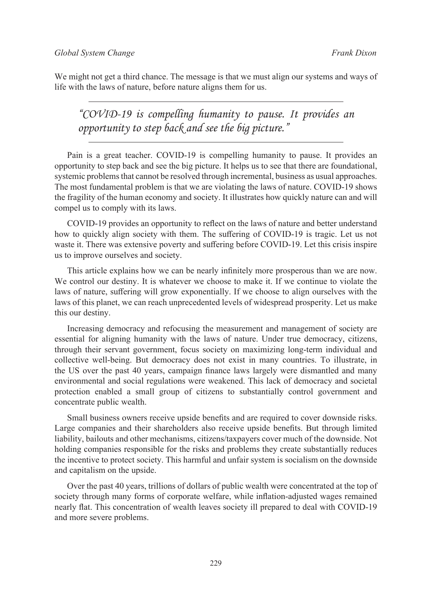We might not get a third chance. The message is that we must align our systems and ways of life with the laws of nature, before nature aligns them for us.

*"COVID-19 is compelling humanity to pause. It provides an opportunity to step back and see the big picture."*

Pain is a great teacher. COVID-19 is compelling humanity to pause. It provides an opportunity to step back and see the big picture. It helps us to see that there are foundational, systemic problems that cannot be resolved through incremental, business as usual approaches. The most fundamental problem is that we are violating the laws of nature. COVID-19 shows the fragility of the human economy and society. It illustrates how quickly nature can and will compel us to comply with its laws.

COVID-19 provides an opportunity to reflect on the laws of nature and better understand how to quickly align society with them. The suffering of COVID-19 is tragic. Let us not waste it. There was extensive poverty and suffering before COVID-19. Let this crisis inspire us to improve ourselves and society.

This article explains how we can be nearly infinitely more prosperous than we are now. We control our destiny. It is whatever we choose to make it. If we continue to violate the laws of nature, suffering will grow exponentially. If we choose to align ourselves with the laws of this planet, we can reach unprecedented levels of widespread prosperity. Let us make this our destiny.

Increasing democracy and refocusing the measurement and management of society are essential for aligning humanity with the laws of nature. Under true democracy, citizens, through their servant government, focus society on maximizing long-term individual and collective well-being. But democracy does not exist in many countries. To illustrate, in the US over the past 40 years, campaign finance laws largely were dismantled and many environmental and social regulations were weakened. This lack of democracy and societal protection enabled a small group of citizens to substantially control government and concentrate public wealth.

Small business owners receive upside benefits and are required to cover downside risks. Large companies and their shareholders also receive upside benefits. But through limited liability, bailouts and other mechanisms, citizens/taxpayers cover much of the downside. Not holding companies responsible for the risks and problems they create substantially reduces the incentive to protect society. This harmful and unfair system is socialism on the downside and capitalism on the upside.

Over the past 40 years, trillions of dollars of public wealth were concentrated at the top of society through many forms of corporate welfare, while inflation-adjusted wages remained nearly flat. This concentration of wealth leaves society ill prepared to deal with COVID-19 and more severe problems.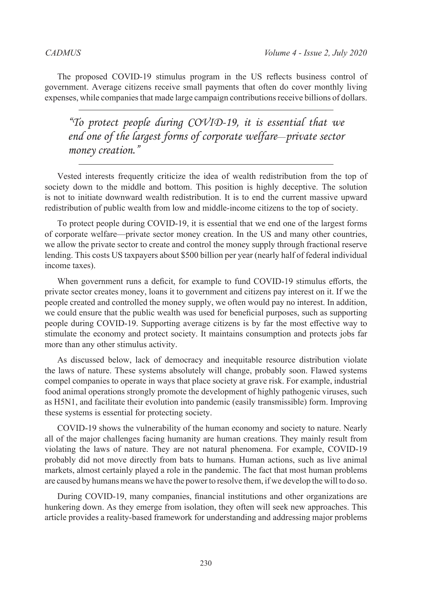The proposed COVID-19 stimulus program in the US reflects business control of government. Average citizens receive small payments that often do cover monthly living expenses, while companies that made large campaign contributions receive billions of dollars.

*"To protect people during COVID-19, it is essential that we end one of the largest forms of corporate welfare*—*private sector money creation."*

Vested interests frequently criticize the idea of wealth redistribution from the top of society down to the middle and bottom. This position is highly deceptive. The solution is not to initiate downward wealth redistribution. It is to end the current massive upward redistribution of public wealth from low and middle-income citizens to the top of society.

To protect people during COVID-19, it is essential that we end one of the largest forms of corporate welfare—private sector money creation. In the US and many other countries, we allow the private sector to create and control the money supply through fractional reserve lending. This costs US taxpayers about \$500 billion per year (nearly half of federal individual income taxes).

When government runs a deficit, for example to fund COVID-19 stimulus efforts, the private sector creates money, loans it to government and citizens pay interest on it. If we the people created and controlled the money supply, we often would pay no interest. In addition, we could ensure that the public wealth was used for beneficial purposes, such as supporting people during COVID-19. Supporting average citizens is by far the most effective way to stimulate the economy and protect society. It maintains consumption and protects jobs far more than any other stimulus activity.

As discussed below, lack of democracy and inequitable resource distribution violate the laws of nature. These systems absolutely will change, probably soon. Flawed systems compel companies to operate in ways that place society at grave risk. For example, industrial food animal operations strongly promote the development of highly pathogenic viruses, such as H5N1, and facilitate their evolution into pandemic (easily transmissible) form. Improving these systems is essential for protecting society.

COVID-19 shows the vulnerability of the human economy and society to nature. Nearly all of the major challenges facing humanity are human creations. They mainly result from violating the laws of nature. They are not natural phenomena. For example, COVID-19 probably did not move directly from bats to humans. Human actions, such as live animal markets, almost certainly played a role in the pandemic. The fact that most human problems are caused by humans means we have the power to resolve them, if we develop the will to do so.

During COVID-19, many companies, financial institutions and other organizations are hunkering down. As they emerge from isolation, they often will seek new approaches. This article provides a reality-based framework for understanding and addressing major problems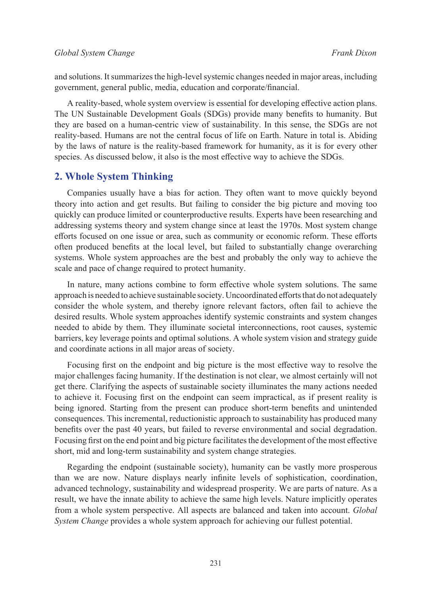and solutions. It summarizes the high-level systemic changes needed in major areas, including government, general public, media, education and corporate/financial.

A reality-based, whole system overview is essential for developing effective action plans. The UN Sustainable Development Goals (SDGs) provide many benefits to humanity. But they are based on a human-centric view of sustainability. In this sense, the SDGs are not reality-based. Humans are not the central focus of life on Earth. Nature in total is. Abiding by the laws of nature is the reality-based framework for humanity, as it is for every other species. As discussed below, it also is the most effective way to achieve the SDGs.

### **2. Whole System Thinking**

Companies usually have a bias for action. They often want to move quickly beyond theory into action and get results. But failing to consider the big picture and moving too quickly can produce limited or counterproductive results. Experts have been researching and addressing systems theory and system change since at least the 1970s. Most system change efforts focused on one issue or area, such as community or economic reform. These efforts often produced benefits at the local level, but failed to substantially change overarching systems. Whole system approaches are the best and probably the only way to achieve the scale and pace of change required to protect humanity.

In nature, many actions combine to form effective whole system solutions. The same approach is needed to achieve sustainable society. Uncoordinated efforts that do not adequately consider the whole system, and thereby ignore relevant factors, often fail to achieve the desired results. Whole system approaches identify systemic constraints and system changes needed to abide by them. They illuminate societal interconnections, root causes, systemic barriers, key leverage points and optimal solutions. A whole system vision and strategy guide and coordinate actions in all major areas of society.

Focusing first on the endpoint and big picture is the most effective way to resolve the major challenges facing humanity. If the destination is not clear, we almost certainly will not get there. Clarifying the aspects of sustainable society illuminates the many actions needed to achieve it. Focusing first on the endpoint can seem impractical, as if present reality is being ignored. Starting from the present can produce short-term benefits and unintended consequences. This incremental, reductionistic approach to sustainability has produced many benefits over the past 40 years, but failed to reverse environmental and social degradation. Focusing first on the end point and big picture facilitates the development of the most effective short, mid and long-term sustainability and system change strategies.

Regarding the endpoint (sustainable society), humanity can be vastly more prosperous than we are now. Nature displays nearly infinite levels of sophistication, coordination, advanced technology, sustainability and widespread prosperity. We are parts of nature. As a result, we have the innate ability to achieve the same high levels. Nature implicitly operates from a whole system perspective. All aspects are balanced and taken into account. *Global System Change* provides a whole system approach for achieving our fullest potential.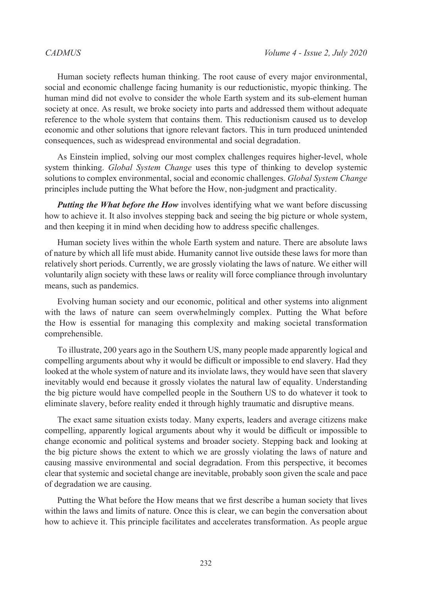Human society reflects human thinking. The root cause of every major environmental, social and economic challenge facing humanity is our reductionistic, myopic thinking. The human mind did not evolve to consider the whole Earth system and its sub-element human society at once. As result, we broke society into parts and addressed them without adequate reference to the whole system that contains them. This reductionism caused us to develop economic and other solutions that ignore relevant factors. This in turn produced unintended consequences, such as widespread environmental and social degradation.

As Einstein implied, solving our most complex challenges requires higher-level, whole system thinking. *Global System Change* uses this type of thinking to develop systemic solutions to complex environmental, social and economic challenges. *Global System Change* principles include putting the What before the How, non-judgment and practicality.

*Putting the What before the How* involves identifying what we want before discussing how to achieve it. It also involves stepping back and seeing the big picture or whole system, and then keeping it in mind when deciding how to address specific challenges.

Human society lives within the whole Earth system and nature. There are absolute laws of nature by which all life must abide. Humanity cannot live outside these laws for more than relatively short periods. Currently, we are grossly violating the laws of nature. We either will voluntarily align society with these laws or reality will force compliance through involuntary means, such as pandemics.

Evolving human society and our economic, political and other systems into alignment with the laws of nature can seem overwhelmingly complex. Putting the What before the How is essential for managing this complexity and making societal transformation comprehensible.

To illustrate, 200 years ago in the Southern US, many people made apparently logical and compelling arguments about why it would be difficult or impossible to end slavery. Had they looked at the whole system of nature and its inviolate laws, they would have seen that slavery inevitably would end because it grossly violates the natural law of equality. Understanding the big picture would have compelled people in the Southern US to do whatever it took to eliminate slavery, before reality ended it through highly traumatic and disruptive means.

The exact same situation exists today. Many experts, leaders and average citizens make compelling, apparently logical arguments about why it would be difficult or impossible to change economic and political systems and broader society. Stepping back and looking at the big picture shows the extent to which we are grossly violating the laws of nature and causing massive environmental and social degradation. From this perspective, it becomes clear that systemic and societal change are inevitable, probably soon given the scale and pace of degradation we are causing.

Putting the What before the How means that we first describe a human society that lives within the laws and limits of nature. Once this is clear, we can begin the conversation about how to achieve it. This principle facilitates and accelerates transformation. As people argue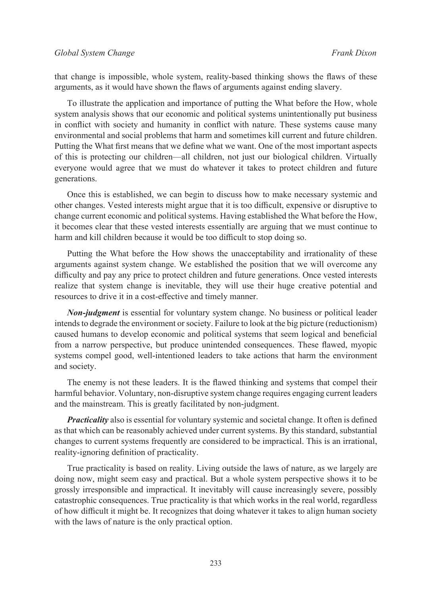that change is impossible, whole system, reality-based thinking shows the flaws of these arguments, as it would have shown the flaws of arguments against ending slavery.

To illustrate the application and importance of putting the What before the How, whole system analysis shows that our economic and political systems unintentionally put business in conflict with society and humanity in conflict with nature. These systems cause many environmental and social problems that harm and sometimes kill current and future children. Putting the What first means that we define what we want. One of the most important aspects of this is protecting our children—all children, not just our biological children. Virtually everyone would agree that we must do whatever it takes to protect children and future generations.

Once this is established, we can begin to discuss how to make necessary systemic and other changes. Vested interests might argue that it is too difficult, expensive or disruptive to change current economic and political systems. Having established the What before the How, it becomes clear that these vested interests essentially are arguing that we must continue to harm and kill children because it would be too difficult to stop doing so.

Putting the What before the How shows the unacceptability and irrationality of these arguments against system change. We established the position that we will overcome any difficulty and pay any price to protect children and future generations. Once vested interests realize that system change is inevitable, they will use their huge creative potential and resources to drive it in a cost-effective and timely manner.

*Non-judgment* is essential for voluntary system change. No business or political leader intends to degrade the environment or society. Failure to look at the big picture (reductionism) caused humans to develop economic and political systems that seem logical and beneficial from a narrow perspective, but produce unintended consequences. These flawed, myopic systems compel good, well-intentioned leaders to take actions that harm the environment and society.

The enemy is not these leaders. It is the flawed thinking and systems that compel their harmful behavior. Voluntary, non-disruptive system change requires engaging current leaders and the mainstream. This is greatly facilitated by non-judgment.

*Practicality* also is essential for voluntary systemic and societal change. It often is defined as that which can be reasonably achieved under current systems. By this standard, substantial changes to current systems frequently are considered to be impractical. This is an irrational, reality-ignoring definition of practicality.

True practicality is based on reality. Living outside the laws of nature, as we largely are doing now, might seem easy and practical. But a whole system perspective shows it to be grossly irresponsible and impractical. It inevitably will cause increasingly severe, possibly catastrophic consequences. True practicality is that which works in the real world, regardless of how difficult it might be. It recognizes that doing whatever it takes to align human society with the laws of nature is the only practical option.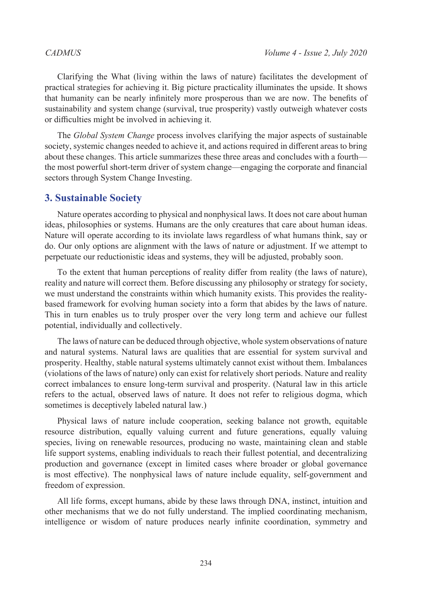Clarifying the What (living within the laws of nature) facilitates the development of practical strategies for achieving it. Big picture practicality illuminates the upside. It shows that humanity can be nearly infinitely more prosperous than we are now. The benefits of sustainability and system change (survival, true prosperity) vastly outweigh whatever costs or difficulties might be involved in achieving it.

The *Global System Change* process involves clarifying the major aspects of sustainable society, systemic changes needed to achieve it, and actions required in different areas to bring about these changes. This article summarizes these three areas and concludes with a fourth the most powerful short-term driver of system change—engaging the corporate and financial sectors through System Change Investing.

### **3. Sustainable Society**

Nature operates according to physical and nonphysical laws. It does not care about human ideas, philosophies or systems. Humans are the only creatures that care about human ideas. Nature will operate according to its inviolate laws regardless of what humans think, say or do. Our only options are alignment with the laws of nature or adjustment. If we attempt to perpetuate our reductionistic ideas and systems, they will be adjusted, probably soon.

To the extent that human perceptions of reality differ from reality (the laws of nature), reality and nature will correct them. Before discussing any philosophy or strategy for society, we must understand the constraints within which humanity exists. This provides the realitybased framework for evolving human society into a form that abides by the laws of nature. This in turn enables us to truly prosper over the very long term and achieve our fullest potential, individually and collectively.

The laws of nature can be deduced through objective, whole system observations of nature and natural systems. Natural laws are qualities that are essential for system survival and prosperity. Healthy, stable natural systems ultimately cannot exist without them. Imbalances (violations of the laws of nature) only can exist for relatively short periods. Nature and reality correct imbalances to ensure long-term survival and prosperity. (Natural law in this article refers to the actual, observed laws of nature. It does not refer to religious dogma, which sometimes is deceptively labeled natural law.)

Physical laws of nature include cooperation, seeking balance not growth, equitable resource distribution, equally valuing current and future generations, equally valuing species, living on renewable resources, producing no waste, maintaining clean and stable life support systems, enabling individuals to reach their fullest potential, and decentralizing production and governance (except in limited cases where broader or global governance is most effective). The nonphysical laws of nature include equality, self-government and freedom of expression.

All life forms, except humans, abide by these laws through DNA, instinct, intuition and other mechanisms that we do not fully understand. The implied coordinating mechanism, intelligence or wisdom of nature produces nearly infinite coordination, symmetry and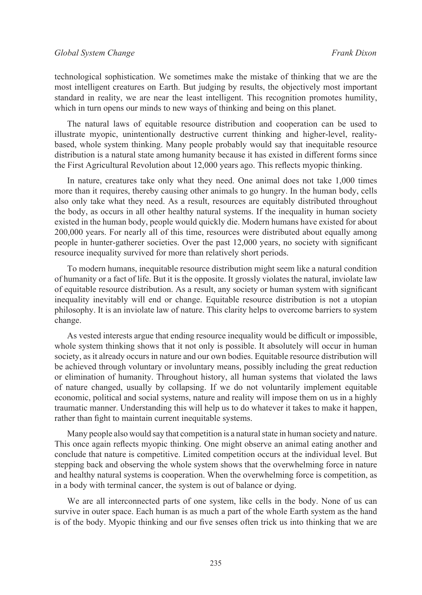technological sophistication. We sometimes make the mistake of thinking that we are the most intelligent creatures on Earth. But judging by results, the objectively most important standard in reality, we are near the least intelligent. This recognition promotes humility, which in turn opens our minds to new ways of thinking and being on this planet.

The natural laws of equitable resource distribution and cooperation can be used to illustrate myopic, unintentionally destructive current thinking and higher-level, realitybased, whole system thinking. Many people probably would say that inequitable resource distribution is a natural state among humanity because it has existed in different forms since the First Agricultural Revolution about 12,000 years ago. This reflects myopic thinking.

In nature, creatures take only what they need. One animal does not take 1,000 times more than it requires, thereby causing other animals to go hungry. In the human body, cells also only take what they need. As a result, resources are equitably distributed throughout the body, as occurs in all other healthy natural systems. If the inequality in human society existed in the human body, people would quickly die. Modern humans have existed for about 200,000 years. For nearly all of this time, resources were distributed about equally among people in hunter-gatherer societies. Over the past 12,000 years, no society with significant resource inequality survived for more than relatively short periods.

To modern humans, inequitable resource distribution might seem like a natural condition of humanity or a fact of life. But it is the opposite. It grossly violates the natural, inviolate law of equitable resource distribution. As a result, any society or human system with significant inequality inevitably will end or change. Equitable resource distribution is not a utopian philosophy. It is an inviolate law of nature. This clarity helps to overcome barriers to system change.

As vested interests argue that ending resource inequality would be difficult or impossible, whole system thinking shows that it not only is possible. It absolutely will occur in human society, as it already occurs in nature and our own bodies. Equitable resource distribution will be achieved through voluntary or involuntary means, possibly including the great reduction or elimination of humanity. Throughout history, all human systems that violated the laws of nature changed, usually by collapsing. If we do not voluntarily implement equitable economic, political and social systems, nature and reality will impose them on us in a highly traumatic manner. Understanding this will help us to do whatever it takes to make it happen, rather than fight to maintain current inequitable systems.

Many people also would say that competition is a natural state in human society and nature. This once again reflects myopic thinking. One might observe an animal eating another and conclude that nature is competitive. Limited competition occurs at the individual level. But stepping back and observing the whole system shows that the overwhelming force in nature and healthy natural systems is cooperation. When the overwhelming force is competition, as in a body with terminal cancer, the system is out of balance or dying.

We are all interconnected parts of one system, like cells in the body. None of us can survive in outer space. Each human is as much a part of the whole Earth system as the hand is of the body. Myopic thinking and our five senses often trick us into thinking that we are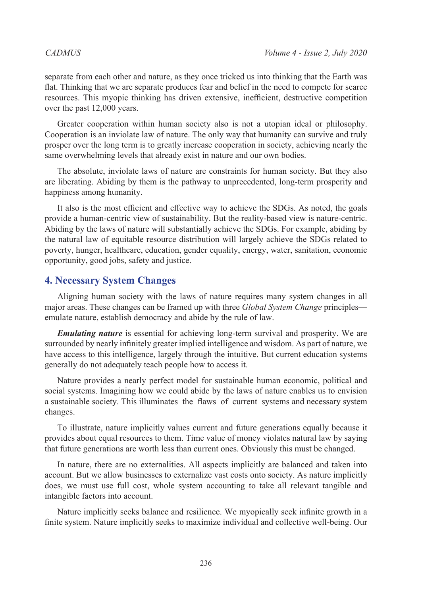separate from each other and nature, as they once tricked us into thinking that the Earth was flat. Thinking that we are separate produces fear and belief in the need to compete for scarce resources. This myopic thinking has driven extensive, inefficient, destructive competition over the past 12,000 years.

Greater cooperation within human society also is not a utopian ideal or philosophy. Cooperation is an inviolate law of nature. The only way that humanity can survive and truly prosper over the long term is to greatly increase cooperation in society, achieving nearly the same overwhelming levels that already exist in nature and our own bodies.

The absolute, inviolate laws of nature are constraints for human society. But they also are liberating. Abiding by them is the pathway to unprecedented, long-term prosperity and happiness among humanity.

It also is the most efficient and effective way to achieve the SDGs. As noted, the goals provide a human-centric view of sustainability. But the reality-based view is nature-centric. Abiding by the laws of nature will substantially achieve the SDGs. For example, abiding by the natural law of equitable resource distribution will largely achieve the SDGs related to poverty, hunger, healthcare, education, gender equality, energy, water, sanitation, economic opportunity, good jobs, safety and justice.

### **4. Necessary System Changes**

Aligning human society with the laws of nature requires many system changes in all major areas. These changes can be framed up with three *Global System Change* principles emulate nature, establish democracy and abide by the rule of law.

*Emulating nature* is essential for achieving long-term survival and prosperity. We are surrounded by nearly infinitely greater implied intelligence and wisdom. As part of nature, we have access to this intelligence, largely through the intuitive. But current education systems generally do not adequately teach people how to access it.

Nature provides a nearly perfect model for sustainable human economic, political and social systems. Imagining how we could abide by the laws of nature enables us to envision a sustainable society. This illuminates the flaws of current systems and necessary system changes.

To illustrate, nature implicitly values current and future generations equally because it provides about equal resources to them. Time value of money violates natural law by saying that future generations are worth less than current ones. Obviously this must be changed.

In nature, there are no externalities. All aspects implicitly are balanced and taken into account. But we allow businesses to externalize vast costs onto society. As nature implicitly does, we must use full cost, whole system accounting to take all relevant tangible and intangible factors into account.

Nature implicitly seeks balance and resilience. We myopically seek infinite growth in a finite system. Nature implicitly seeks to maximize individual and collective well-being. Our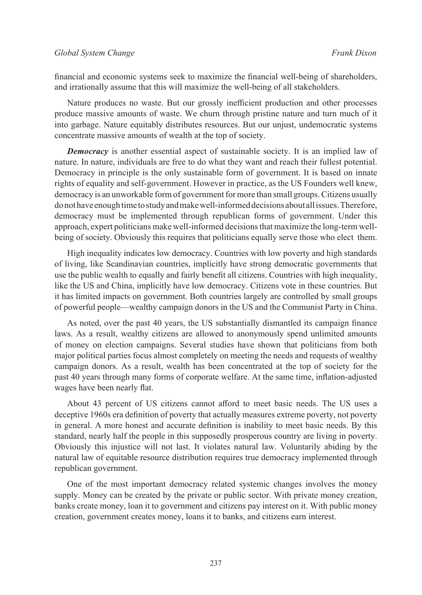financial and economic systems seek to maximize the financial well-being of shareholders, and irrationally assume that this will maximize the well-being of all stakeholders.

Nature produces no waste. But our grossly inefficient production and other processes produce massive amounts of waste. We churn through pristine nature and turn much of it into garbage. Nature equitably distributes resources. But our unjust, undemocratic systems concentrate massive amounts of wealth at the top of society.

*Democracy* is another essential aspect of sustainable society. It is an implied law of nature. In nature, individuals are free to do what they want and reach their fullest potential. Democracy in principle is the only sustainable form of government. It is based on innate rights of equality and self-government. However in practice, as the US Founders well knew, democracy is an unworkable form of government for more than small groups. Citizens usually do not have enough time to study and make well-informed decisions about all issues. Therefore, democracy must be implemented through republican forms of government. Under this approach, expert politicians make well-informed decisions that maximize the long-term wellbeing of society. Obviously this requires that politicians equally serve those who elect them.

High inequality indicates low democracy. Countries with low poverty and high standards of living, like Scandinavian countries, implicitly have strong democratic governments that use the public wealth to equally and fairly benefit all citizens. Countries with high inequality, like the US and China, implicitly have low democracy. Citizens vote in these countries. But it has limited impacts on government. Both countries largely are controlled by small groups of powerful people—wealthy campaign donors in the US and the Communist Party in China.

As noted, over the past 40 years, the US substantially dismantled its campaign finance laws. As a result, wealthy citizens are allowed to anonymously spend unlimited amounts of money on election campaigns. Several studies have shown that politicians from both major political parties focus almost completely on meeting the needs and requests of wealthy campaign donors. As a result, wealth has been concentrated at the top of society for the past 40 years through many forms of corporate welfare. At the same time, inflation-adjusted wages have been nearly flat.

About 43 percent of US citizens cannot afford to meet basic needs. The US uses a deceptive 1960s era definition of poverty that actually measures extreme poverty, not poverty in general. A more honest and accurate definition is inability to meet basic needs. By this standard, nearly half the people in this supposedly prosperous country are living in poverty. Obviously this injustice will not last. It violates natural law. Voluntarily abiding by the natural law of equitable resource distribution requires true democracy implemented through republican government.

One of the most important democracy related systemic changes involves the money supply. Money can be created by the private or public sector. With private money creation, banks create money, loan it to government and citizens pay interest on it. With public money creation, government creates money, loans it to banks, and citizens earn interest.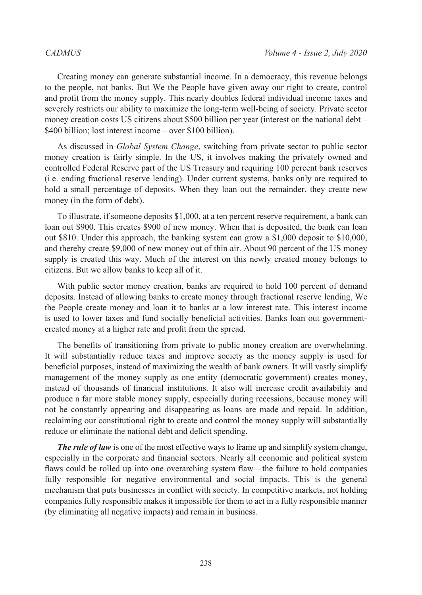Creating money can generate substantial income. In a democracy, this revenue belongs to the people, not banks. But We the People have given away our right to create, control and profit from the money supply. This nearly doubles federal individual income taxes and severely restricts our ability to maximize the long-term well-being of society. Private sector money creation costs US citizens about \$500 billion per year (interest on the national debt – \$400 billion; lost interest income – over \$100 billion).

As discussed in *Global System Change*, switching from private sector to public sector money creation is fairly simple. In the US, it involves making the privately owned and controlled Federal Reserve part of the US Treasury and requiring 100 percent bank reserves (i.e. ending fractional reserve lending). Under current systems, banks only are required to hold a small percentage of deposits. When they loan out the remainder, they create new money (in the form of debt).

To illustrate, if someone deposits \$1,000, at a ten percent reserve requirement, a bank can loan out \$900. This creates \$900 of new money. When that is deposited, the bank can loan out \$810. Under this approach, the banking system can grow a \$1,000 deposit to \$10,000, and thereby create \$9,000 of new money out of thin air. About 90 percent of the US money supply is created this way. Much of the interest on this newly created money belongs to citizens. But we allow banks to keep all of it.

With public sector money creation, banks are required to hold 100 percent of demand deposits. Instead of allowing banks to create money through fractional reserve lending, We the People create money and loan it to banks at a low interest rate. This interest income is used to lower taxes and fund socially beneficial activities. Banks loan out governmentcreated money at a higher rate and profit from the spread.

The benefits of transitioning from private to public money creation are overwhelming. It will substantially reduce taxes and improve society as the money supply is used for beneficial purposes, instead of maximizing the wealth of bank owners. It will vastly simplify management of the money supply as one entity (democratic government) creates money, instead of thousands of financial institutions. It also will increase credit availability and produce a far more stable money supply, especially during recessions, because money will not be constantly appearing and disappearing as loans are made and repaid. In addition, reclaiming our constitutional right to create and control the money supply will substantially reduce or eliminate the national debt and deficit spending.

*The rule of law* is one of the most effective ways to frame up and simplify system change, especially in the corporate and financial sectors. Nearly all economic and political system flaws could be rolled up into one overarching system flaw—the failure to hold companies fully responsible for negative environmental and social impacts. This is the general mechanism that puts businesses in conflict with society. In competitive markets, not holding companies fully responsible makes it impossible for them to act in a fully responsible manner (by eliminating all negative impacts) and remain in business.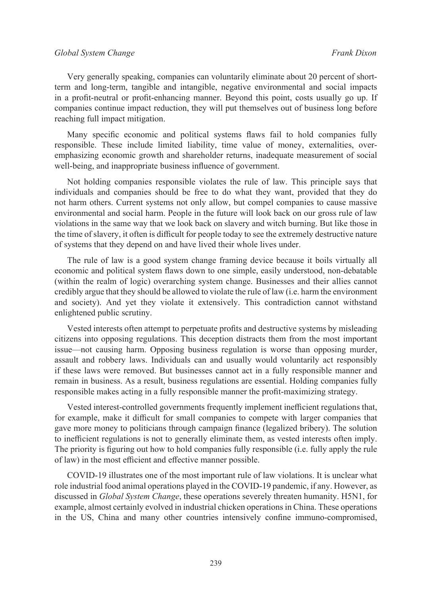### *CADMUS Volume 4 - Issue 2, July 2020 Global System Change Frank Dixon*

Very generally speaking, companies can voluntarily eliminate about 20 percent of shortterm and long-term, tangible and intangible, negative environmental and social impacts in a profit-neutral or profit-enhancing manner. Beyond this point, costs usually go up. If companies continue impact reduction, they will put themselves out of business long before reaching full impact mitigation.

Many specific economic and political systems flaws fail to hold companies fully responsible. These include limited liability, time value of money, externalities, overemphasizing economic growth and shareholder returns, inadequate measurement of social well-being, and inappropriate business influence of government.

Not holding companies responsible violates the rule of law. This principle says that individuals and companies should be free to do what they want, provided that they do not harm others. Current systems not only allow, but compel companies to cause massive environmental and social harm. People in the future will look back on our gross rule of law violations in the same way that we look back on slavery and witch burning. But like those in the time of slavery, it often is difficult for people today to see the extremely destructive nature of systems that they depend on and have lived their whole lives under.

The rule of law is a good system change framing device because it boils virtually all economic and political system flaws down to one simple, easily understood, non-debatable (within the realm of logic) overarching system change. Businesses and their allies cannot credibly argue that they should be allowed to violate the rule of law (i.e. harm the environment and society). And yet they violate it extensively. This contradiction cannot withstand enlightened public scrutiny.

Vested interests often attempt to perpetuate profits and destructive systems by misleading citizens into opposing regulations. This deception distracts them from the most important issue—not causing harm. Opposing business regulation is worse than opposing murder, assault and robbery laws. Individuals can and usually would voluntarily act responsibly if these laws were removed. But businesses cannot act in a fully responsible manner and remain in business. As a result, business regulations are essential. Holding companies fully responsible makes acting in a fully responsible manner the profit-maximizing strategy.

Vested interest-controlled governments frequently implement inefficient regulations that, for example, make it difficult for small companies to compete with larger companies that gave more money to politicians through campaign finance (legalized bribery). The solution to inefficient regulations is not to generally eliminate them, as vested interests often imply. The priority is figuring out how to hold companies fully responsible (i.e. fully apply the rule of law) in the most efficient and effective manner possible.

COVID-19 illustrates one of the most important rule of law violations. It is unclear what role industrial food animal operations played in the COVID-19 pandemic, if any. However, as discussed in *Global System Change*, these operations severely threaten humanity. H5N1, for example, almost certainly evolved in industrial chicken operations in China. These operations in the US, China and many other countries intensively confine immuno-compromised,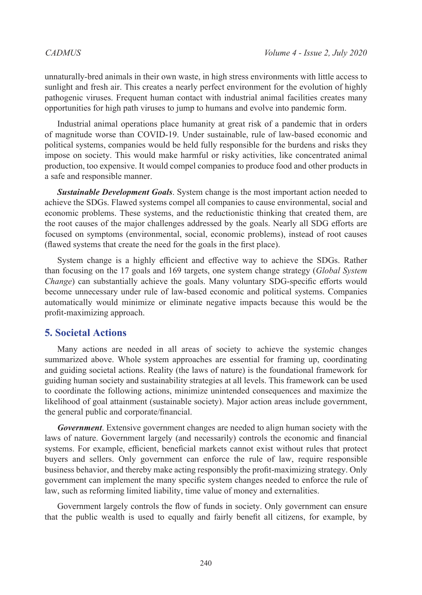unnaturally-bred animals in their own waste, in high stress environments with little access to sunlight and fresh air. This creates a nearly perfect environment for the evolution of highly pathogenic viruses. Frequent human contact with industrial animal facilities creates many opportunities for high path viruses to jump to humans and evolve into pandemic form.

Industrial animal operations place humanity at great risk of a pandemic that in orders of magnitude worse than COVID-19. Under sustainable, rule of law-based economic and political systems, companies would be held fully responsible for the burdens and risks they impose on society. This would make harmful or risky activities, like concentrated animal production, too expensive. It would compel companies to produce food and other products in a safe and responsible manner.

*Sustainable Development Goals*. System change is the most important action needed to achieve the SDGs. Flawed systems compel all companies to cause environmental, social and economic problems. These systems, and the reductionistic thinking that created them, are the root causes of the major challenges addressed by the goals. Nearly all SDG efforts are focused on symptoms (environmental, social, economic problems), instead of root causes (flawed systems that create the need for the goals in the first place).

System change is a highly efficient and effective way to achieve the SDGs. Rather than focusing on the 17 goals and 169 targets, one system change strategy (*Global System Change*) can substantially achieve the goals. Many voluntary SDG-specific efforts would become unnecessary under rule of law-based economic and political systems. Companies automatically would minimize or eliminate negative impacts because this would be the profit-maximizing approach.

### **5. Societal Actions**

Many actions are needed in all areas of society to achieve the systemic changes summarized above. Whole system approaches are essential for framing up, coordinating and guiding societal actions. Reality (the laws of nature) is the foundational framework for guiding human society and sustainability strategies at all levels. This framework can be used to coordinate the following actions, minimize unintended consequences and maximize the likelihood of goal attainment (sustainable society). Major action areas include government, the general public and corporate/financial.

*Government*. Extensive government changes are needed to align human society with the laws of nature. Government largely (and necessarily) controls the economic and financial systems. For example, efficient, beneficial markets cannot exist without rules that protect buyers and sellers. Only government can enforce the rule of law, require responsible business behavior, and thereby make acting responsibly the profit-maximizing strategy. Only government can implement the many specific system changes needed to enforce the rule of law, such as reforming limited liability, time value of money and externalities.

Government largely controls the flow of funds in society. Only government can ensure that the public wealth is used to equally and fairly benefit all citizens, for example, by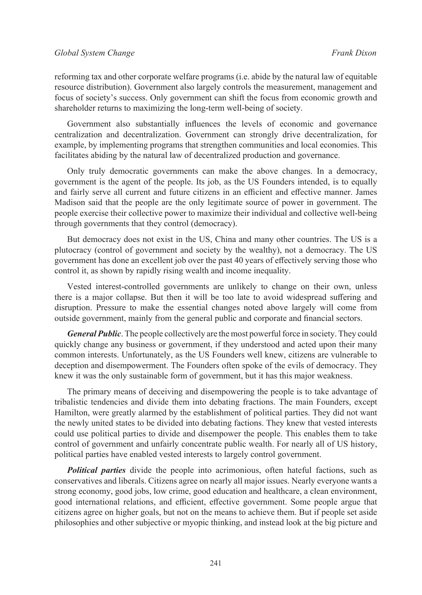reforming tax and other corporate welfare programs (i.e. abide by the natural law of equitable resource distribution). Government also largely controls the measurement, management and focus of society's success. Only government can shift the focus from economic growth and shareholder returns to maximizing the long-term well-being of society.

Government also substantially influences the levels of economic and governance centralization and decentralization. Government can strongly drive decentralization, for example, by implementing programs that strengthen communities and local economies. This facilitates abiding by the natural law of decentralized production and governance.

Only truly democratic governments can make the above changes. In a democracy, government is the agent of the people. Its job, as the US Founders intended, is to equally and fairly serve all current and future citizens in an efficient and effective manner. James Madison said that the people are the only legitimate source of power in government. The people exercise their collective power to maximize their individual and collective well-being through governments that they control (democracy).

But democracy does not exist in the US, China and many other countries. The US is a plutocracy (control of government and society by the wealthy), not a democracy. The US government has done an excellent job over the past 40 years of effectively serving those who control it, as shown by rapidly rising wealth and income inequality.

Vested interest-controlled governments are unlikely to change on their own, unless there is a major collapse. But then it will be too late to avoid widespread suffering and disruption. Pressure to make the essential changes noted above largely will come from outside government, mainly from the general public and corporate and financial sectors.

*General Public*. The people collectively are the most powerful force in society. They could quickly change any business or government, if they understood and acted upon their many common interests. Unfortunately, as the US Founders well knew, citizens are vulnerable to deception and disempowerment. The Founders often spoke of the evils of democracy. They knew it was the only sustainable form of government, but it has this major weakness.

The primary means of deceiving and disempowering the people is to take advantage of tribalistic tendencies and divide them into debating fractions. The main Founders, except Hamilton, were greatly alarmed by the establishment of political parties. They did not want the newly united states to be divided into debating factions. They knew that vested interests could use political parties to divide and disempower the people. This enables them to take control of government and unfairly concentrate public wealth. For nearly all of US history, political parties have enabled vested interests to largely control government.

*Political parties* divide the people into acrimonious, often hateful factions, such as conservatives and liberals. Citizens agree on nearly all major issues. Nearly everyone wants a strong economy, good jobs, low crime, good education and healthcare, a clean environment, good international relations, and efficient, effective government. Some people argue that citizens agree on higher goals, but not on the means to achieve them. But if people set aside philosophies and other subjective or myopic thinking, and instead look at the big picture and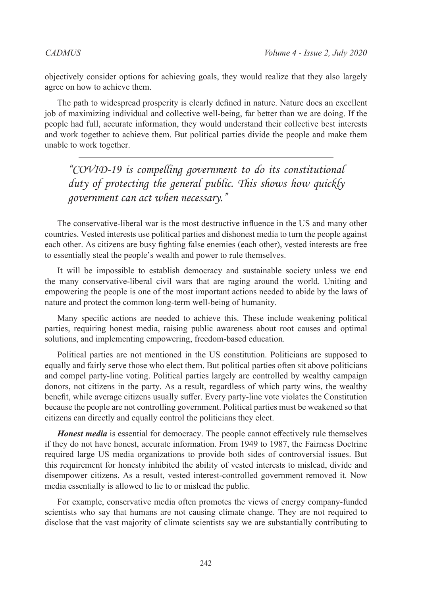objectively consider options for achieving goals, they would realize that they also largely agree on how to achieve them.

The path to widespread prosperity is clearly defined in nature. Nature does an excellent job of maximizing individual and collective well-being, far better than we are doing. If the people had full, accurate information, they would understand their collective best interests and work together to achieve them. But political parties divide the people and make them unable to work together.

*"COVID-19 is compelling government to do its constitutional duty of protecting the general public. This shows how quickly government can act when necessary."*

The conservative-liberal war is the most destructive influence in the US and many other countries. Vested interests use political parties and dishonest media to turn the people against each other. As citizens are busy fighting false enemies (each other), vested interests are free to essentially steal the people's wealth and power to rule themselves.

It will be impossible to establish democracy and sustainable society unless we end the many conservative-liberal civil wars that are raging around the world. Uniting and empowering the people is one of the most important actions needed to abide by the laws of nature and protect the common long-term well-being of humanity.

Many specific actions are needed to achieve this. These include weakening political parties, requiring honest media, raising public awareness about root causes and optimal solutions, and implementing empowering, freedom-based education.

Political parties are not mentioned in the US constitution. Politicians are supposed to equally and fairly serve those who elect them. But political parties often sit above politicians and compel party-line voting. Political parties largely are controlled by wealthy campaign donors, not citizens in the party. As a result, regardless of which party wins, the wealthy benefit, while average citizens usually suffer. Every party-line vote violates the Constitution because the people are not controlling government. Political parties must be weakened so that citizens can directly and equally control the politicians they elect.

*Honest media* is essential for democracy. The people cannot effectively rule themselves if they do not have honest, accurate information. From 1949 to 1987, the Fairness Doctrine required large US media organizations to provide both sides of controversial issues. But this requirement for honesty inhibited the ability of vested interests to mislead, divide and disempower citizens. As a result, vested interest-controlled government removed it. Now media essentially is allowed to lie to or mislead the public.

For example, conservative media often promotes the views of energy company-funded scientists who say that humans are not causing climate change. They are not required to disclose that the vast majority of climate scientists say we are substantially contributing to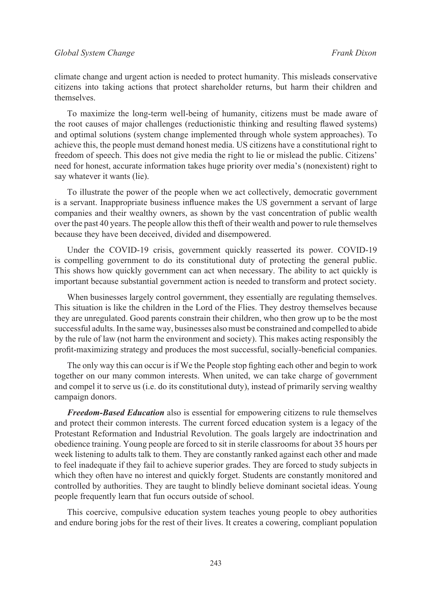climate change and urgent action is needed to protect humanity. This misleads conservative citizens into taking actions that protect shareholder returns, but harm their children and themselves.

To maximize the long-term well-being of humanity, citizens must be made aware of the root causes of major challenges (reductionistic thinking and resulting flawed systems) and optimal solutions (system change implemented through whole system approaches). To achieve this, the people must demand honest media. US citizens have a constitutional right to freedom of speech. This does not give media the right to lie or mislead the public. Citizens' need for honest, accurate information takes huge priority over media's (nonexistent) right to say whatever it wants (lie).

To illustrate the power of the people when we act collectively, democratic government is a servant. Inappropriate business influence makes the US government a servant of large companies and their wealthy owners, as shown by the vast concentration of public wealth over the past 40 years. The people allow this theft of their wealth and power to rule themselves because they have been deceived, divided and disempowered.

Under the COVID-19 crisis, government quickly reasserted its power. COVID-19 is compelling government to do its constitutional duty of protecting the general public. This shows how quickly government can act when necessary. The ability to act quickly is important because substantial government action is needed to transform and protect society.

When businesses largely control government, they essentially are regulating themselves. This situation is like the children in the Lord of the Flies. They destroy themselves because they are unregulated. Good parents constrain their children, who then grow up to be the most successful adults. In the same way, businesses also must be constrained and compelled to abide by the rule of law (not harm the environment and society). This makes acting responsibly the profit-maximizing strategy and produces the most successful, socially-beneficial companies.

The only way this can occur is if We the People stop fighting each other and begin to work together on our many common interests. When united, we can take charge of government and compel it to serve us (i.e. do its constitutional duty), instead of primarily serving wealthy campaign donors.

*Freedom-Based Education* also is essential for empowering citizens to rule themselves and protect their common interests. The current forced education system is a legacy of the Protestant Reformation and Industrial Revolution. The goals largely are indoctrination and obedience training. Young people are forced to sit in sterile classrooms for about 35 hours per week listening to adults talk to them. They are constantly ranked against each other and made to feel inadequate if they fail to achieve superior grades. They are forced to study subjects in which they often have no interest and quickly forget. Students are constantly monitored and controlled by authorities. They are taught to blindly believe dominant societal ideas. Young people frequently learn that fun occurs outside of school.

This coercive, compulsive education system teaches young people to obey authorities and endure boring jobs for the rest of their lives. It creates a cowering, compliant population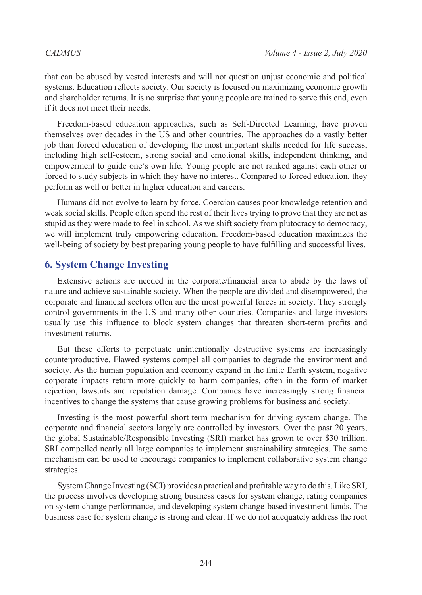that can be abused by vested interests and will not question unjust economic and political systems. Education reflects society. Our society is focused on maximizing economic growth and shareholder returns. It is no surprise that young people are trained to serve this end, even if it does not meet their needs.

Freedom-based education approaches, such as Self-Directed Learning, have proven themselves over decades in the US and other countries. The approaches do a vastly better job than forced education of developing the most important skills needed for life success, including high self-esteem, strong social and emotional skills, independent thinking, and empowerment to guide one's own life. Young people are not ranked against each other or forced to study subjects in which they have no interest. Compared to forced education, they perform as well or better in higher education and careers.

Humans did not evolve to learn by force. Coercion causes poor knowledge retention and weak social skills. People often spend the rest of their lives trying to prove that they are not as stupid as they were made to feel in school. As we shift society from plutocracy to democracy, we will implement truly empowering education. Freedom-based education maximizes the well-being of society by best preparing young people to have fulfilling and successful lives.

### **6. System Change Investing**

Extensive actions are needed in the corporate/financial area to abide by the laws of nature and achieve sustainable society. When the people are divided and disempowered, the corporate and financial sectors often are the most powerful forces in society. They strongly control governments in the US and many other countries. Companies and large investors usually use this influence to block system changes that threaten short-term profits and investment returns.

But these efforts to perpetuate unintentionally destructive systems are increasingly counterproductive. Flawed systems compel all companies to degrade the environment and society. As the human population and economy expand in the finite Earth system, negative corporate impacts return more quickly to harm companies, often in the form of market rejection, lawsuits and reputation damage. Companies have increasingly strong financial incentives to change the systems that cause growing problems for business and society.

Investing is the most powerful short-term mechanism for driving system change. The corporate and financial sectors largely are controlled by investors. Over the past 20 years, the global Sustainable/Responsible Investing (SRI) market has grown to over \$30 trillion. SRI compelled nearly all large companies to implement sustainability strategies. The same mechanism can be used to encourage companies to implement collaborative system change strategies.

System Change Investing (SCI) provides a practical and profitable way to do this. Like SRI, the process involves developing strong business cases for system change, rating companies on system change performance, and developing system change-based investment funds. The business case for system change is strong and clear. If we do not adequately address the root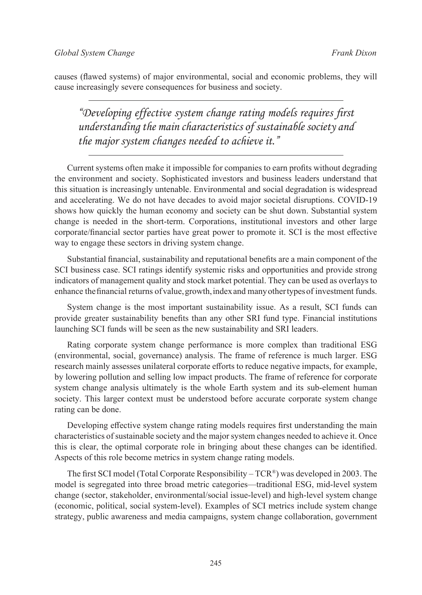causes (flawed systems) of major environmental, social and economic problems, they will cause increasingly severe consequences for business and society.

*"Developing effective system change rating models requires first understanding the main characteristics of sustainable society and the major system changes needed to achieve it."*

Current systems often make it impossible for companies to earn profits without degrading the environment and society. Sophisticated investors and business leaders understand that this situation is increasingly untenable. Environmental and social degradation is widespread and accelerating. We do not have decades to avoid major societal disruptions. COVID-19 shows how quickly the human economy and society can be shut down. Substantial system change is needed in the short-term. Corporations, institutional investors and other large corporate/financial sector parties have great power to promote it. SCI is the most effective way to engage these sectors in driving system change.

Substantial financial, sustainability and reputational benefits are a main component of the SCI business case. SCI ratings identify systemic risks and opportunities and provide strong indicators of management quality and stock market potential. They can be used as overlays to enhance the financial returns of value, growth, index and many other types of investment funds.

System change is the most important sustainability issue. As a result, SCI funds can provide greater sustainability benefits than any other SRI fund type. Financial institutions launching SCI funds will be seen as the new sustainability and SRI leaders.

Rating corporate system change performance is more complex than traditional ESG (environmental, social, governance) analysis. The frame of reference is much larger. ESG research mainly assesses unilateral corporate efforts to reduce negative impacts, for example, by lowering pollution and selling low impact products. The frame of reference for corporate system change analysis ultimately is the whole Earth system and its sub-element human society. This larger context must be understood before accurate corporate system change rating can be done.

Developing effective system change rating models requires first understanding the main characteristics of sustainable society and the major system changes needed to achieve it. Once this is clear, the optimal corporate role in bringing about these changes can be identified. Aspects of this role become metrics in system change rating models.

The first SCI model (Total Corporate Responsibility – TCR®) was developed in 2003. The model is segregated into three broad metric categories—traditional ESG, mid-level system change (sector, stakeholder, environmental/social issue-level) and high-level system change (economic, political, social system-level). Examples of SCI metrics include system change strategy, public awareness and media campaigns, system change collaboration, government